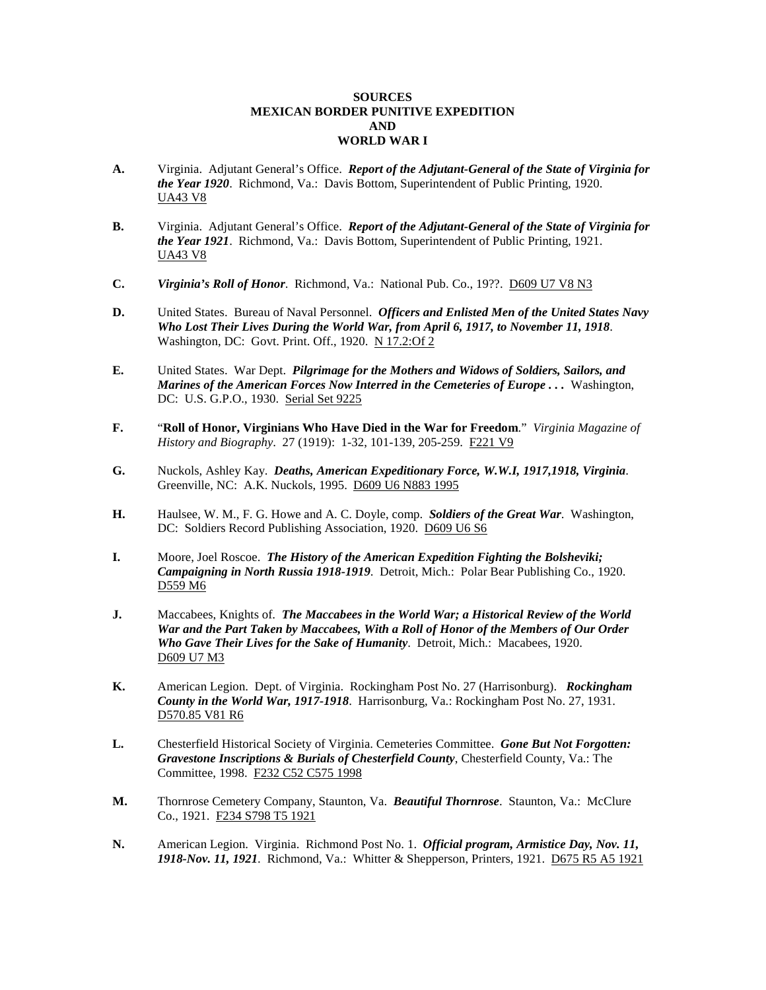## **SOURCES MEXICAN BORDER PUNITIVE EXPEDITION AND WORLD WAR I**

- **A.** Virginia. Adjutant General's Office. *Report of the Adjutant-General of the State of Virginia for the Year 1920*. Richmond, Va.: Davis Bottom, Superintendent of Public Printing, 1920. UA43 V8
- **B.** Virginia. Adjutant General's Office. *Report of the Adjutant-General of the State of Virginia for the Year 1921*. Richmond, Va.: Davis Bottom, Superintendent of Public Printing, 1921. UA43 V8
- **C.** *Virginia's Roll of Honor.* Richmond, Va.: National Pub. Co., 19??. D609 U7 V8 N3
- **D.** United States. Bureau of Naval Personnel. *Officers and Enlisted Men of the United States Navy Who Lost Their Lives During the World War, from April 6, 1917, to November 11, 1918*. Washington, DC: Govt. Print. Off., 1920. N 17.2:Of 2
- **E.** United States. War Dept. *Pilgrimage for the Mothers and Widows of Soldiers, Sailors, and Marines of the American Forces Now Interred in the Cemeteries of Europe . . .* Washington, DC: U.S. G.P.O., 1930. Serial Set 9225
- **F.** "**Roll of Honor, Virginians Who Have Died in the War for Freedom**." *Virginia Magazine of History and Biography*. 27 (1919): 1-32, 101-139, 205-259. F221 V9
- **G.** Nuckols, Ashley Kay. *Deaths, American Expeditionary Force, W.W.I, 1917,1918, Virginia*. Greenville, NC: A.K. Nuckols, 1995. D609 U6 N883 1995
- **H.** Haulsee, W. M., F. G. Howe and A. C. Doyle, comp. *Soldiers of the Great War*. Washington, DC: Soldiers Record Publishing Association, 1920. D609 U6 S6
- **I.** Moore, Joel Roscoe. *The History of the American Expedition Fighting the Bolsheviki; Campaigning in North Russia 1918-1919*. Detroit, Mich.: Polar Bear Publishing Co., 1920. D559 M6
- **J.** Maccabees, Knights of. *The Maccabees in the World War; a Historical Review of the World War and the Part Taken by Maccabees, With a Roll of Honor of the Members of Our Order Who Gave Their Lives for the Sake of Humanity*. Detroit, Mich.: Macabees, 1920. D609 U7 M3
- **K.** American Legion. Dept. of Virginia. Rockingham Post No. 27 (Harrisonburg). *Rockingham County in the World War, 1917-1918*. Harrisonburg, Va.: Rockingham Post No. 27, 1931. D570.85 V81 R6
- **L.** Chesterfield Historical Society of Virginia. Cemeteries Committee. *Gone But Not Forgotten: Gravestone Inscriptions & Burials of Chesterfield County*, Chesterfield County, Va.: The Committee, 1998. F232 C52 C575 1998
- **M.** Thornrose Cemetery Company, Staunton, Va. *Beautiful Thornrose*. Staunton, Va.: McClure Co., 1921. F234 S798 T5 1921
- **N.** American Legion. Virginia. Richmond Post No. 1. *Official program, Armistice Day, Nov. 11, 1918-Nov. 11, 1921*. Richmond, Va.: Whitter & Shepperson, Printers, 1921. D675 R5 A5 1921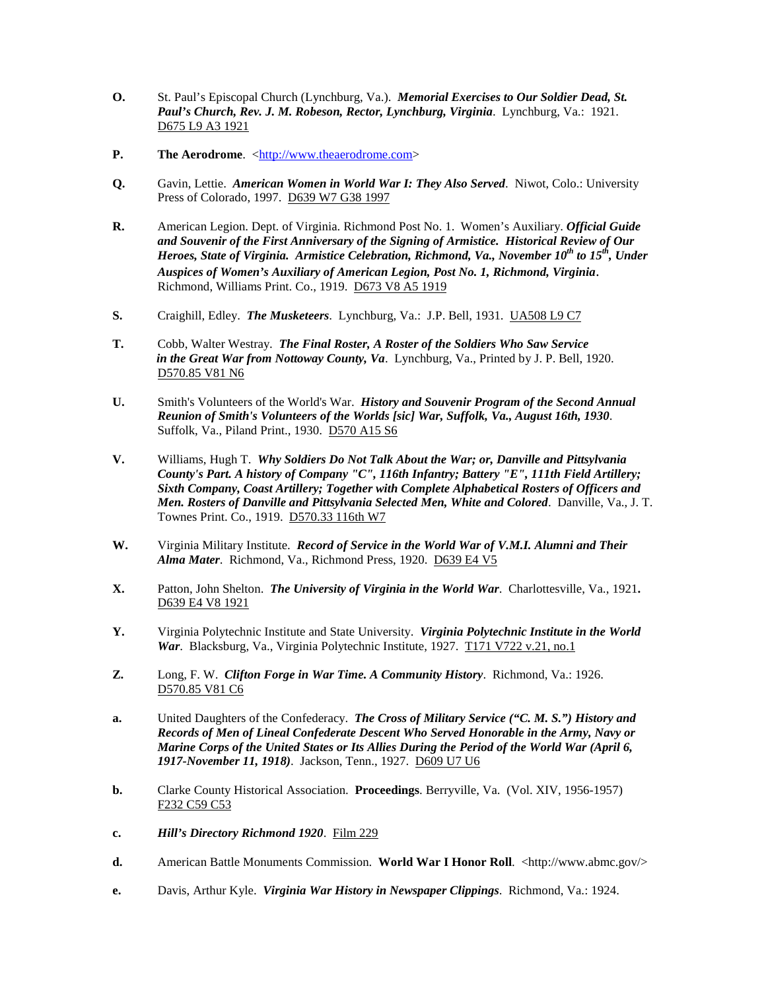- **O.** St. Paul's Episcopal Church (Lynchburg, Va.). *Memorial Exercises to Our Soldier Dead, St. Paul's Church, Rev. J. M. Robeson, Rector, Lynchburg, Virginia*. Lynchburg, Va.: 1921. D675 L9 A3 1921
- **P.** The Aerodrome. <http:/[/www.theaerodrome.com>](http://www.theaerodrome.com/)
- **Q.** Gavin, Lettie. *American Women in World War I: They Also Served*. Niwot, Colo.: University Press of Colorado, 1997. D639 W7 G38 1997
- **R.** American Legion. Dept. of Virginia. Richmond Post No. 1. Women's Auxiliary. *Official Guide and Souvenir of the First Anniversary of the Signing of Armistice. Historical Review of Our Heroes, State of Virginia. Armistice Celebration, Richmond, Va., November 10<sup>th</sup> to 15<sup>th</sup>, Under Auspices of Women's Auxiliary of American Legion, Post No. 1, Richmond, Virginia*. Richmond, Williams Print. Co., 1919. D673 V8 A5 1919
- **S.** Craighill, Edley. *The Musketeers*. Lynchburg, Va.: J.P. Bell, 1931. UA508 L9 C7
- **T.** Cobb, Walter Westray. *The Final Roster, A Roster of the Soldiers Who Saw Service in the Great War from Nottoway County, Va*. Lynchburg, Va., Printed by J. P. Bell, 1920. D570.85 V81 N6
- **U.** Smith's Volunteers of the World's War. *History and Souvenir Program of the Second Annual Reunion of Smith's Volunteers of the Worlds [sic] War, Suffolk, Va., August 16th, 1930*. Suffolk, Va., Piland Print., 1930. D570 A15 S6
- **V.** Williams, Hugh T. *Why Soldiers Do Not Talk About the War; or, Danville and Pittsylvania County's Part. A history of Company "C", 116th Infantry; Battery "E", 111th Field Artillery; Sixth Company, Coast Artillery; Together with Complete Alphabetical Rosters of Officers and Men. Rosters of Danville and Pittsylvania Selected Men, White and Colored*. Danville, Va., J. T. Townes Print. Co., 1919. D570.33 116th W7
- **W.** Virginia Military Institute. *Record of Service in the World War of V.M.I. Alumni and Their Alma Mater*. Richmond, Va., Richmond Press, 1920. D639 E4 V5
- **X.** Patton, John Shelton. *The University of Virginia in the World War*. Charlottesville, Va., 1921**.**  D639 E4 V8 1921
- **Y.** Virginia Polytechnic Institute and State University. *Virginia Polytechnic Institute in the World War*. Blacksburg, Va., Virginia Polytechnic Institute, 1927. T171 V722 v.21, no.1
- **Z.** Long, F. W. *Clifton Forge in War Time. A Community History*. Richmond, Va.: 1926. D570.85 V81 C6
- **a.** United Daughters of the Confederacy. *The Cross of Military Service ("C. M. S.") History and Records of Men of Lineal Confederate Descent Who Served Honorable in the Army, Navy or Marine Corps of the United States or Its Allies During the Period of the World War (April 6, 1917-November 11, 1918)*. Jackson, Tenn., 1927. D609 U7 U6
- **b.** Clarke County Historical Association. **Proceedings**. Berryville, Va. (Vol. XIV, 1956-1957) F232 C59 C53
- **c.** *Hill's Directory Richmond 1920*. Film 229
- **d.** American Battle Monuments Commission. **World War I Honor Roll**. <http://www.abmc.gov/>
- **e.** Davis, Arthur Kyle. *Virginia War History in Newspaper Clippings*. Richmond, Va.: 1924.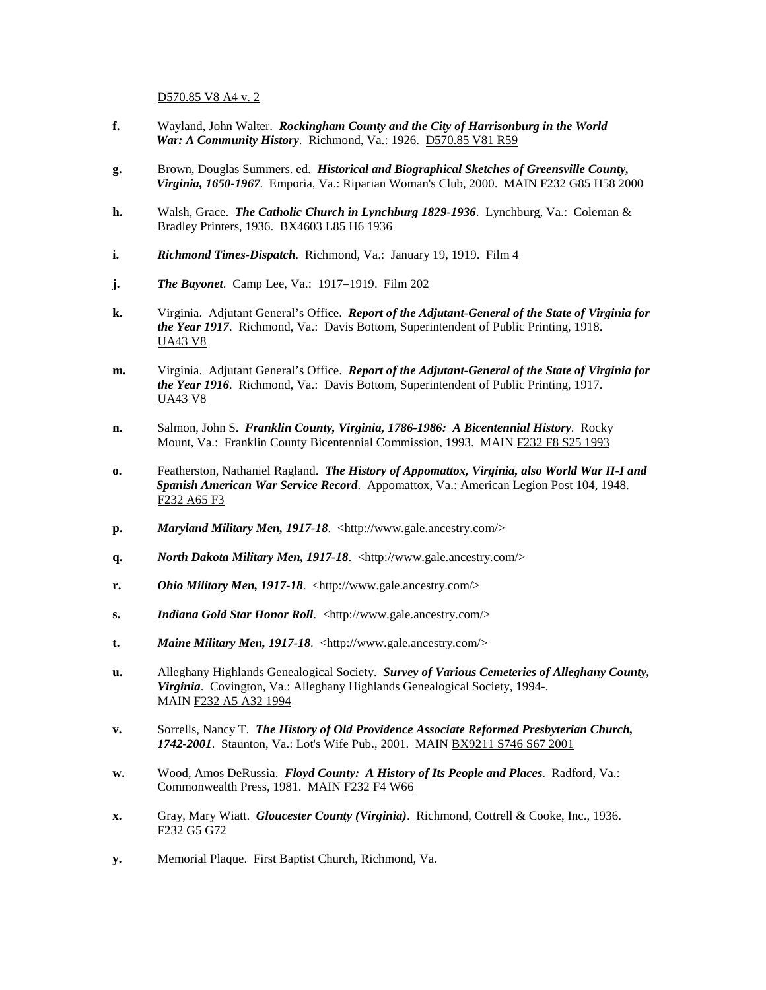D570.85 V8 A4 v. 2

- **f.** Wayland, John Walter. *Rockingham County and the City of Harrisonburg in the World War: A Community History*. Richmond, Va.: 1926. D570.85 V81 R59
- **g.** Brown, Douglas Summers. ed. *Historical and Biographical Sketches of Greensville County, Virginia, 1650-1967*. Emporia, Va.: Riparian Woman's Club, 2000. MAIN F232 G85 H58 2000
- **h.** Walsh, Grace. *The Catholic Church in Lynchburg 1829-1936*. Lynchburg, Va.: Coleman & Bradley Printers, 1936. BX4603 L85 H6 1936
- **i.** *Richmond Times-Dispatch*. Richmond, Va.: January 19, 1919. Film 4
- **j.** *The Bayonet*. Camp Lee, Va.: 1917–1919. Film 202
- **k.** Virginia. Adjutant General's Office. *Report of the Adjutant-General of the State of Virginia for the Year 1917*. Richmond, Va.: Davis Bottom, Superintendent of Public Printing, 1918. UA43 V8
- **m.** Virginia. Adjutant General's Office. *Report of the Adjutant-General of the State of Virginia for the Year 1916*. Richmond, Va.: Davis Bottom, Superintendent of Public Printing, 1917. UA43 V8
- **n.** Salmon, John S. *Franklin County, Virginia, 1786-1986: A Bicentennial History*. Rocky Mount, Va.: Franklin County Bicentennial Commission, 1993. MAIN F232 F8 S25 1993
- **o.** Featherston, Nathaniel Ragland. *The History of Appomattox, Virginia, also World War II-I and Spanish American War Service Record*. Appomattox, Va.: American Legion Post 104, 1948. F232 A65 F3
- **p.** *Maryland Military Men, 1917-18*. <http://www.gale.ancestry.com/>
- **q.** *North Dakota Military Men, 1917-18*. <http://www.gale.ancestry.com/>
- **r.** *Ohio Military Men, 1917-18*. <http://www.gale.ancestry.com/>
- **s.** *Indiana Gold Star Honor Roll*. <http://www.gale.ancestry.com/>
- **t.** *Maine Military Men, 1917-18*. <http://www.gale.ancestry.com/>
- **u.** Alleghany Highlands Genealogical Society. *Survey of Various Cemeteries of Alleghany County, Virginia*. Covington, Va.: Alleghany Highlands Genealogical Society, 1994-. MAIN F232 A5 A32 1994
- **v.** Sorrells, Nancy T. *The History of Old Providence Associate Reformed Presbyterian Church, 1742-2001*. Staunton, Va.: Lot's Wife Pub., 2001. MAIN BX9211 S746 S67 2001
- **w.** Wood, Amos DeRussia. *Floyd County: A History of Its People and Places*. Radford, Va.: Commonwealth Press, 1981. MAIN F232 F4 W66
- **x.** Gray, Mary Wiatt. *Gloucester County (Virginia)*. Richmond, Cottrell & Cooke, Inc., 1936. F232 G5 G72
- **y.** Memorial Plaque. First Baptist Church, Richmond, Va.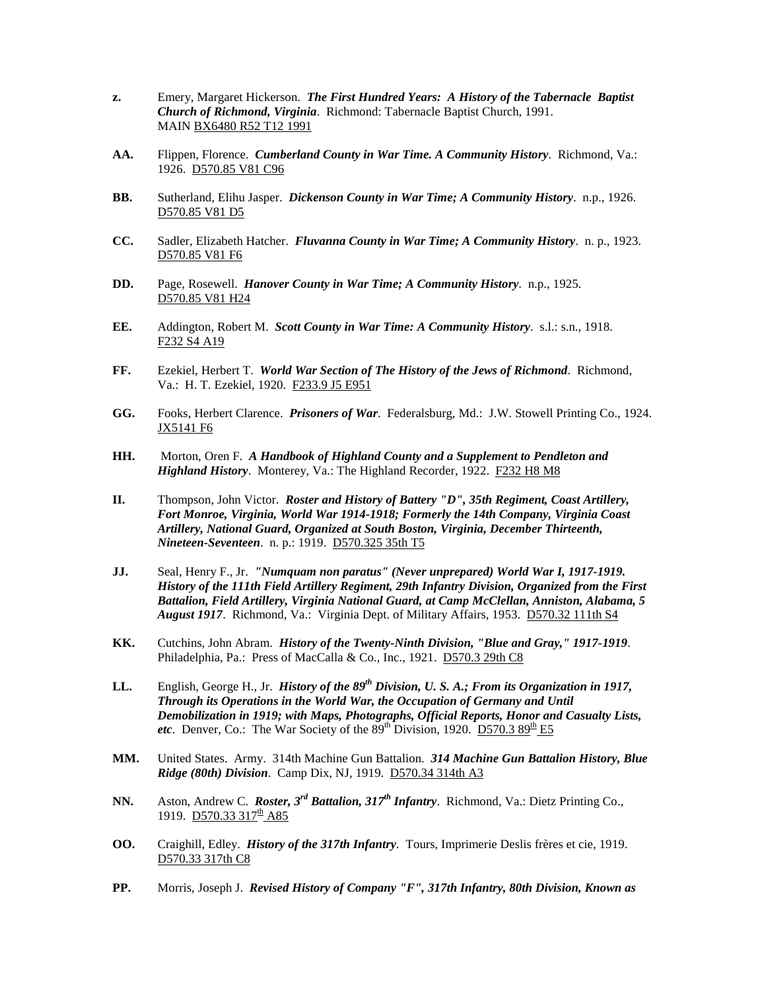- **z.** Emery, Margaret Hickerson. *The First Hundred Years: A History of the Tabernacle Baptist Church of Richmond, Virginia*. Richmond: Tabernacle Baptist Church, 1991. MAIN BX6480 R52 T12 1991
- **AA.** Flippen, Florence. *Cumberland County in War Time. A Community History*. Richmond, Va.: 1926. D570.85 V81 C96
- **BB.** Sutherland, Elihu Jasper. *Dickenson County in War Time; A Community History*. n.p., 1926. D570.85 V81 D5
- **CC.** Sadler, Elizabeth Hatcher. *Fluvanna County in War Time; A Community History*. n. p., 1923. D570.85 V81 F6
- **DD.** Page, Rosewell. *Hanover County in War Time; A Community History*. n.p., 1925. D570.85 V81 H24
- **EE.** Addington, Robert M. *Scott County in War Time: A Community History*. s.l.: s.n., 1918. F232 S4 A19
- **FF.** Ezekiel, Herbert T. *World War Section of The History of the Jews of Richmond*. Richmond, Va.: H. T. Ezekiel, 1920. F233.9 J5 E951
- **GG.** Fooks, Herbert Clarence. *Prisoners of War*. Federalsburg, Md.: J.W. Stowell Printing Co., 1924. JX5141 F6
- **HH.** Morton, Oren F. *A Handbook of Highland County and a Supplement to Pendleton and Highland History*. Monterey, Va.: The Highland Recorder, 1922. F232 H8 M8
- **II.** Thompson, John Victor. *Roster and History of Battery "D", 35th Regiment, Coast Artillery, Fort Monroe, Virginia, World War 1914-1918; Formerly the 14th Company, Virginia Coast Artillery, National Guard, Organized at South Boston, Virginia, December Thirteenth, Nineteen-Seventeen*. n. p.: 1919. D570.325 35th T5
- **JJ.** Seal, Henry F., Jr. *"Numquam non paratus" (Never unprepared) World War I, 1917-1919. History of the 111th Field Artillery Regiment, 29th Infantry Division, Organized from the First Battalion, Field Artillery, Virginia National Guard, at Camp McClellan, Anniston, Alabama, 5 August 1917*. Richmond, Va.: Virginia Dept. of Military Affairs, 1953. D570.32 111th S4
- **KK.** Cutchins, John Abram. *History of the Twenty-Ninth Division, "Blue and Gray," 1917-1919*. Philadelphia, Pa.: Press of MacCalla & Co., Inc., 1921. D570.3 29th C8
- LL. English, George H., Jr. *History of the 89<sup>th</sup> Division, U. S. A.; From its Organization in 1917, Through its Operations in the World War, the Occupation of Germany and Until Demobilization in 1919; with Maps, Photographs, Official Reports, Honor and Casualty Lists, etc.* Denver, Co.: The War Society of the  $89<sup>th</sup>$  Division, 1920. D570.3  $89<sup>th</sup>$  E5
- **MM.** United States. Army. 314th Machine Gun Battalion. *314 Machine Gun Battalion History, Blue Ridge (80th) Division*. Camp Dix, NJ, 1919. D570.34 314th A3
- **NN.** Aston, Andrew C. *Roster, 3rd Battalion, 317th Infantry*. Richmond, Va.: Dietz Printing Co., 1919. D570.33 317<sup>th</sup> A85
- **OO.** Craighill, Edley. *History of the 317th Infantry*. Tours, Imprimerie Deslis frères et cie, 1919. D570.33 317th C8
- **PP.** Morris, Joseph J. *Revised History of Company "F", 317th Infantry, 80th Division, Known as*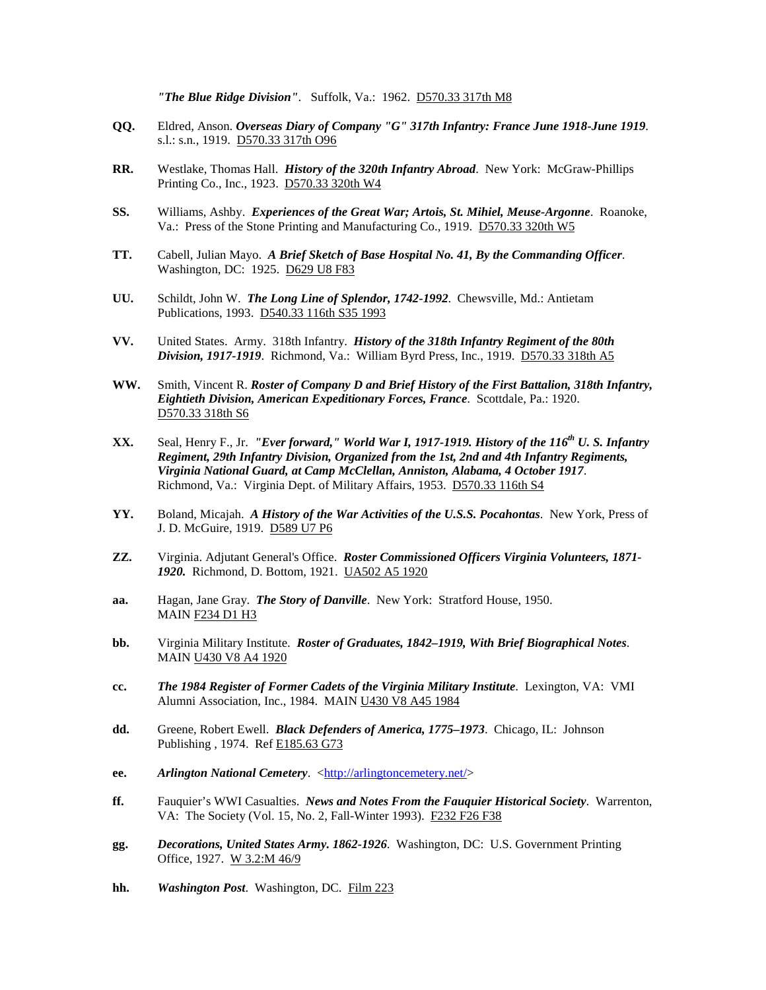*"The Blue Ridge Division"*. Suffolk, Va.: 1962. D570.33 317th M8

- **QQ.** Eldred, Anson. *Overseas Diary of Company "G" 317th Infantry: France June 1918-June 1919*. s.l.: s.n., 1919. D570.33 317th O96
- **RR.** Westlake, Thomas Hall. *History of the 320th Infantry Abroad*. New York: McGraw-Phillips Printing Co., Inc., 1923. D570.33 320th W4
- **SS.** Williams, Ashby. *Experiences of the Great War; Artois, St. Mihiel, Meuse-Argonne*. Roanoke, Va.: Press of the Stone Printing and Manufacturing Co., 1919. D570.33 320th W5
- **TT.** Cabell, Julian Mayo. *A Brief Sketch of Base Hospital No. 41, By the Commanding Officer*. Washington, DC: 1925. D629 U8 F83
- **UU.** Schildt, John W. *The Long Line of Splendor, 1742-1992*. Chewsville, Md.: Antietam Publications, 1993. D540.33 116th S35 1993
- **VV.** United States. Army. 318th Infantry. *History of the 318th Infantry Regiment of the 80th Division, 1917-1919*. Richmond, Va.: William Byrd Press, Inc., 1919. D570.33 318th A5
- **WW.** Smith, Vincent R. *Roster of Company D and Brief History of the First Battalion, 318th Infantry, Eightieth Division, American Expeditionary Forces, France*. Scottdale, Pa.: 1920. D570.33 318th S6
- **XX.** Seal, Henry F., Jr. *"Ever forward," World War I, 1917-1919. History of the 116th U. S. Infantry Regiment, 29th Infantry Division, Organized from the 1st, 2nd and 4th Infantry Regiments, Virginia National Guard, at Camp McClellan, Anniston, Alabama, 4 October 1917*. Richmond, Va.: Virginia Dept. of Military Affairs, 1953. D570.33 116th S4
- **YY.** Boland, Micajah. *A History of the War Activities of the U.S.S. Pocahontas*. New York, Press of J. D. McGuire, 1919. D589 U7 P6
- **ZZ.** Virginia. Adjutant General's Office. *Roster Commissioned Officers Virginia Volunteers, 1871- 1920.* Richmond, D. Bottom, 1921. UA502 A5 1920
- **aa.** Hagan, Jane Gray. *The Story of Danville*. New York: Stratford House, 1950. MAIN F234 D1 H3
- **bb.** Virginia Military Institute. *Roster of Graduates, 1842–1919, With Brief Biographical Notes*. MAIN U430 V8 A4 1920
- **cc.** *The 1984 Register of Former Cadets of the Virginia Military Institute*. Lexington, VA: VMI Alumni Association, Inc., 1984. MAIN U430 V8 A45 1984
- **dd.** Greene, Robert Ewell. *Black Defenders of America, 1775–1973*. Chicago, IL: Johnson Publishing , 1974. Ref E185.63 G73
- **ee.** *Arlington National Cemetery.* [<http://arlingtoncemetery.net/>](http://arlingtoncemetery.net/)
- **ff.** Fauquier's WWI Casualties. *News and Notes From the Fauquier Historical Society*. Warrenton, VA: The Society (Vol. 15, No. 2, Fall-Winter 1993). F232 F26 F38
- **gg.** *Decorations, United States Army. 1862-1926*. Washington, DC: U.S. Government Printing Office, 1927. W 3.2:M 46/9
- **hh.** *Washington Post*. Washington, DC. Film 223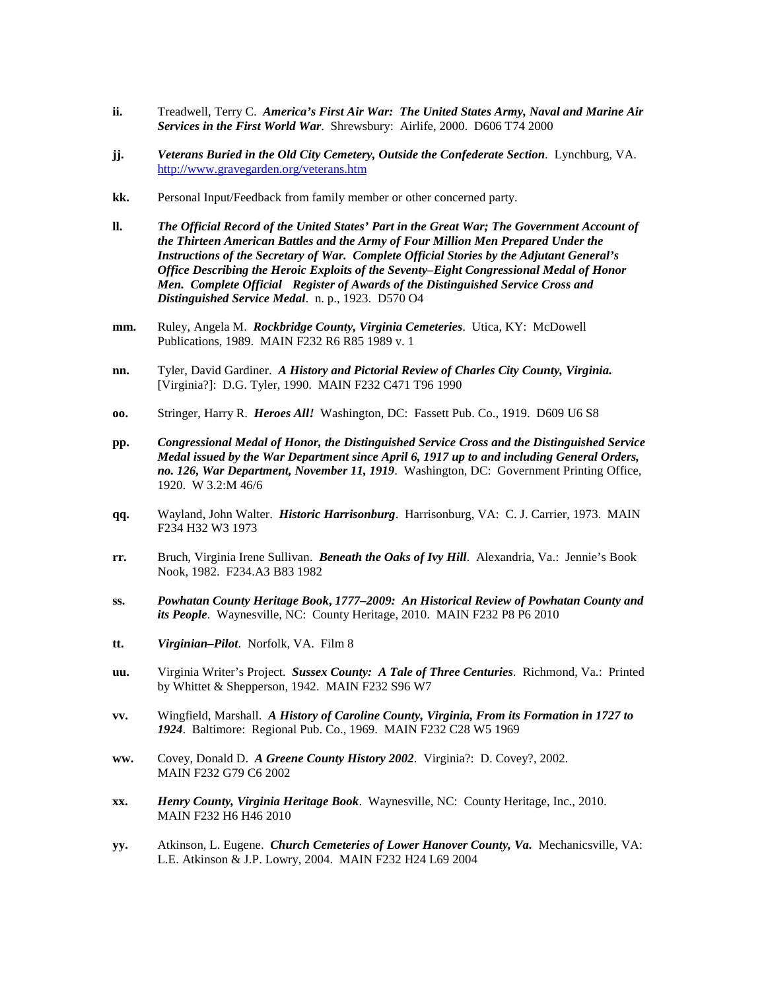- **ii.** Treadwell, Terry C. *America's First Air War: The United States Army, Naval and Marine Air Services in the First World War*. Shrewsbury: Airlife, 2000. D606 T74 2000
- **jj.** *Veterans Buried in the Old City Cemetery, Outside the Confederate Section*. Lynchburg, VA. <http://www.gravegarden.org/veterans.htm>
- **kk.** Personal Input/Feedback from family member or other concerned party.
- **ll.** *The Official Record of the United States' Part in the Great War; The Government Account of the Thirteen American Battles and the Army of Four Million Men Prepared Under the Instructions of the Secretary of War. Complete Official Stories by the Adjutant General's Office Describing the Heroic Exploits of the Seventy–Eight Congressional Medal of Honor Men. Complete Official Register of Awards of the Distinguished Service Cross and Distinguished Service Medal*. n. p., 1923. D570 O4
- **mm.** Ruley, Angela M. *Rockbridge County, Virginia Cemeteries*. Utica, KY: McDowell Publications, 1989. MAIN F232 R6 R85 1989 v. 1
- **nn.** Tyler, David Gardiner. *A History and Pictorial Review of Charles City County, Virginia.* [Virginia?]: D.G. Tyler, 1990. MAIN F232 C471 T96 1990
- **oo.** Stringer, Harry R. *Heroes All!* Washington, DC: Fassett Pub. Co., 1919. D609 U6 S8
- **pp.** *Congressional Medal of Honor, the Distinguished Service Cross and the Distinguished Service Medal issued by the War Department since April 6, 1917 up to and including General Orders, no. 126, War Department, November 11, 1919*. Washington, DC: Government Printing Office, 1920. W 3.2:M 46/6
- **qq.** Wayland, John Walter. *Historic Harrisonburg*. Harrisonburg, VA: C. J. Carrier, 1973. MAIN F234 H32 W3 1973
- **rr.** Bruch, Virginia Irene Sullivan. *Beneath the Oaks of Ivy Hill*. Alexandria, Va.: Jennie's Book Nook, 1982. F234.A3 B83 1982
- **ss.** *Powhatan County Heritage Book***,** *1777–2009: An Historical Review of Powhatan County and its People*. Waynesville, NC: County Heritage, 2010. MAIN F232 P8 P6 2010
- **tt.** *Virginian–Pilot*. Norfolk, VA. Film 8
- **uu.** Virginia Writer's Project. *Sussex County: A Tale of Three Centuries*. Richmond, Va.: Printed by Whittet & Shepperson, 1942. MAIN F232 S96 W7
- **vv.** Wingfield, Marshall. *A History of Caroline County, Virginia, From its Formation in 1727 to 1924*. Baltimore: Regional Pub. Co., 1969. MAIN F232 C28 W5 1969
- **ww.** Covey, Donald D. *A Greene County History 2002*. Virginia?: D. Covey?, 2002. MAIN F232 G79 C6 2002
- **xx.** *Henry County, Virginia Heritage Book*. Waynesville, NC: County Heritage, Inc., 2010. MAIN F232 H6 H46 2010
- **yy.** Atkinson, L. Eugene. *Church Cemeteries of Lower Hanover County, Va.* Mechanicsville, VA: L.E. Atkinson & J.P. Lowry, 2004. MAIN F232 H24 L69 2004